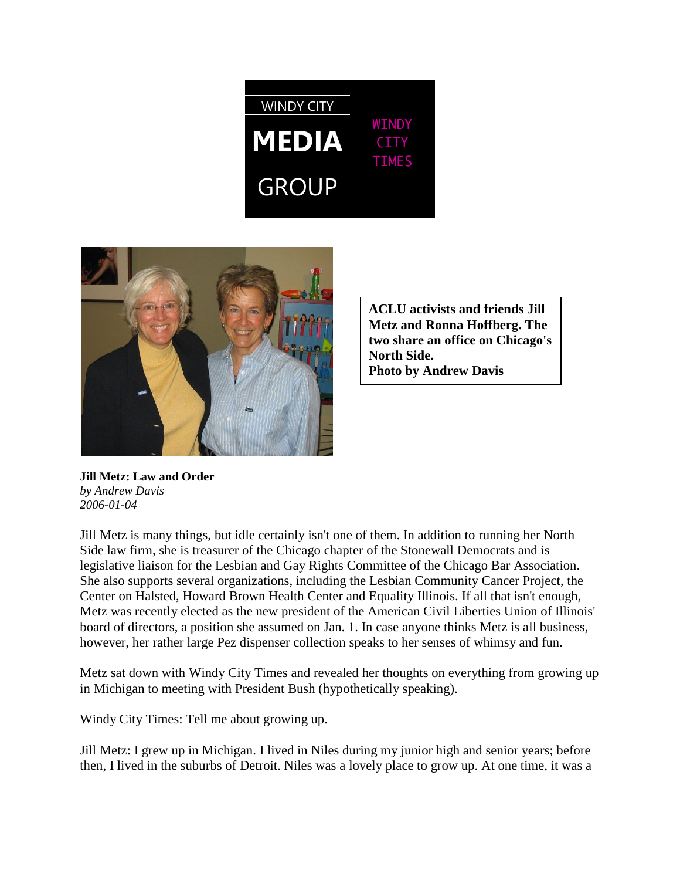



**ACLU activists and friends Jill Metz and Ronna Hoffberg. The two share an office on Chicago's North Side. Photo by Andrew Davis**

**Jill Metz: Law and Order** *by Andrew Davis 2006-01-04*

Jill Metz is many things, but idle certainly isn't one of them. In addition to running her North Side law firm, she is treasurer of the Chicago chapter of the Stonewall Democrats and is legislative liaison for the Lesbian and Gay Rights Committee of the Chicago Bar Association. She also supports several organizations, including the Lesbian Community Cancer Project, the Center on Halsted, Howard Brown Health Center and Equality Illinois. If all that isn't enough, Metz was recently elected as the new president of the American Civil Liberties Union of Illinois' board of directors, a position she assumed on Jan. 1. In case anyone thinks Metz is all business, however, her rather large Pez dispenser collection speaks to her senses of whimsy and fun.

Metz sat down with Windy City Times and revealed her thoughts on everything from growing up in Michigan to meeting with President Bush (hypothetically speaking).

Windy City Times: Tell me about growing up.

Jill Metz: I grew up in Michigan. I lived in Niles during my junior high and senior years; before then, I lived in the suburbs of Detroit. Niles was a lovely place to grow up. At one time, it was a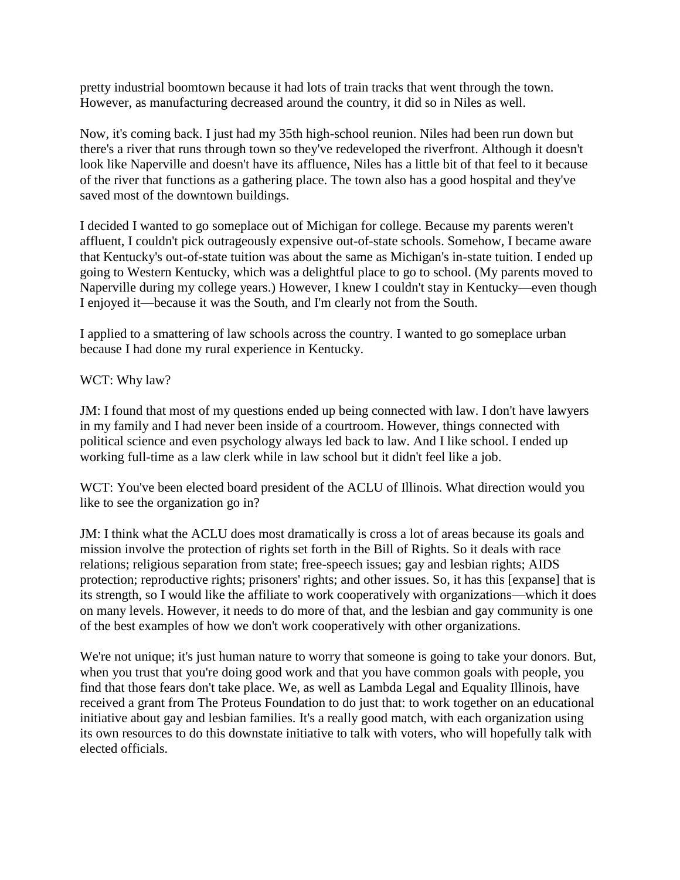pretty industrial boomtown because it had lots of train tracks that went through the town. However, as manufacturing decreased around the country, it did so in Niles as well.

Now, it's coming back. I just had my 35th high-school reunion. Niles had been run down but there's a river that runs through town so they've redeveloped the riverfront. Although it doesn't look like Naperville and doesn't have its affluence, Niles has a little bit of that feel to it because of the river that functions as a gathering place. The town also has a good hospital and they've saved most of the downtown buildings.

I decided I wanted to go someplace out of Michigan for college. Because my parents weren't affluent, I couldn't pick outrageously expensive out-of-state schools. Somehow, I became aware that Kentucky's out-of-state tuition was about the same as Michigan's in-state tuition. I ended up going to Western Kentucky, which was a delightful place to go to school. (My parents moved to Naperville during my college years.) However, I knew I couldn't stay in Kentucky—even though I enjoyed it—because it was the South, and I'm clearly not from the South.

I applied to a smattering of law schools across the country. I wanted to go someplace urban because I had done my rural experience in Kentucky.

WCT: Why law?

JM: I found that most of my questions ended up being connected with law. I don't have lawyers in my family and I had never been inside of a courtroom. However, things connected with political science and even psychology always led back to law. And I like school. I ended up working full-time as a law clerk while in law school but it didn't feel like a job.

WCT: You've been elected board president of the ACLU of Illinois. What direction would you like to see the organization go in?

JM: I think what the ACLU does most dramatically is cross a lot of areas because its goals and mission involve the protection of rights set forth in the Bill of Rights. So it deals with race relations; religious separation from state; free-speech issues; gay and lesbian rights; AIDS protection; reproductive rights; prisoners' rights; and other issues. So, it has this [expanse] that is its strength, so I would like the affiliate to work cooperatively with organizations—which it does on many levels. However, it needs to do more of that, and the lesbian and gay community is one of the best examples of how we don't work cooperatively with other organizations.

We're not unique; it's just human nature to worry that someone is going to take your donors. But, when you trust that you're doing good work and that you have common goals with people, you find that those fears don't take place. We, as well as Lambda Legal and Equality Illinois, have received a grant from The Proteus Foundation to do just that: to work together on an educational initiative about gay and lesbian families. It's a really good match, with each organization using its own resources to do this downstate initiative to talk with voters, who will hopefully talk with elected officials.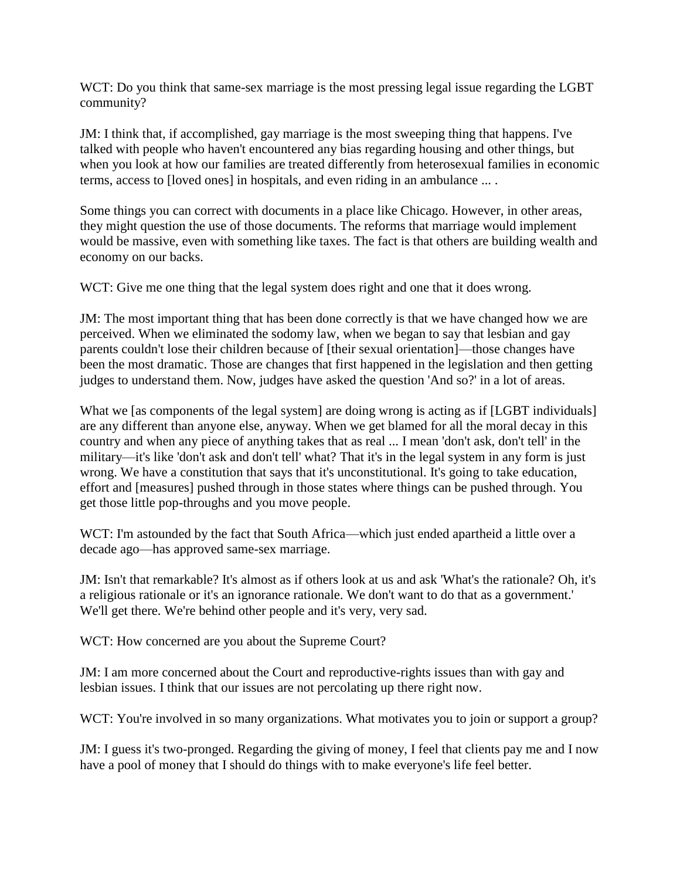WCT: Do you think that same-sex marriage is the most pressing legal issue regarding the LGBT community?

JM: I think that, if accomplished, gay marriage is the most sweeping thing that happens. I've talked with people who haven't encountered any bias regarding housing and other things, but when you look at how our families are treated differently from heterosexual families in economic terms, access to [loved ones] in hospitals, and even riding in an ambulance ... .

Some things you can correct with documents in a place like Chicago. However, in other areas, they might question the use of those documents. The reforms that marriage would implement would be massive, even with something like taxes. The fact is that others are building wealth and economy on our backs.

WCT: Give me one thing that the legal system does right and one that it does wrong.

JM: The most important thing that has been done correctly is that we have changed how we are perceived. When we eliminated the sodomy law, when we began to say that lesbian and gay parents couldn't lose their children because of [their sexual orientation]—those changes have been the most dramatic. Those are changes that first happened in the legislation and then getting judges to understand them. Now, judges have asked the question 'And so?' in a lot of areas.

What we [as components of the legal system] are doing wrong is acting as if [LGBT individuals] are any different than anyone else, anyway. When we get blamed for all the moral decay in this country and when any piece of anything takes that as real ... I mean 'don't ask, don't tell' in the military—it's like 'don't ask and don't tell' what? That it's in the legal system in any form is just wrong. We have a constitution that says that it's unconstitutional. It's going to take education, effort and [measures] pushed through in those states where things can be pushed through. You get those little pop-throughs and you move people.

WCT: I'm astounded by the fact that South Africa—which just ended apartheid a little over a decade ago—has approved same-sex marriage.

JM: Isn't that remarkable? It's almost as if others look at us and ask 'What's the rationale? Oh, it's a religious rationale or it's an ignorance rationale. We don't want to do that as a government.' We'll get there. We're behind other people and it's very, very sad.

WCT: How concerned are you about the Supreme Court?

JM: I am more concerned about the Court and reproductive-rights issues than with gay and lesbian issues. I think that our issues are not percolating up there right now.

WCT: You're involved in so many organizations. What motivates you to join or support a group?

JM: I guess it's two-pronged. Regarding the giving of money, I feel that clients pay me and I now have a pool of money that I should do things with to make everyone's life feel better.